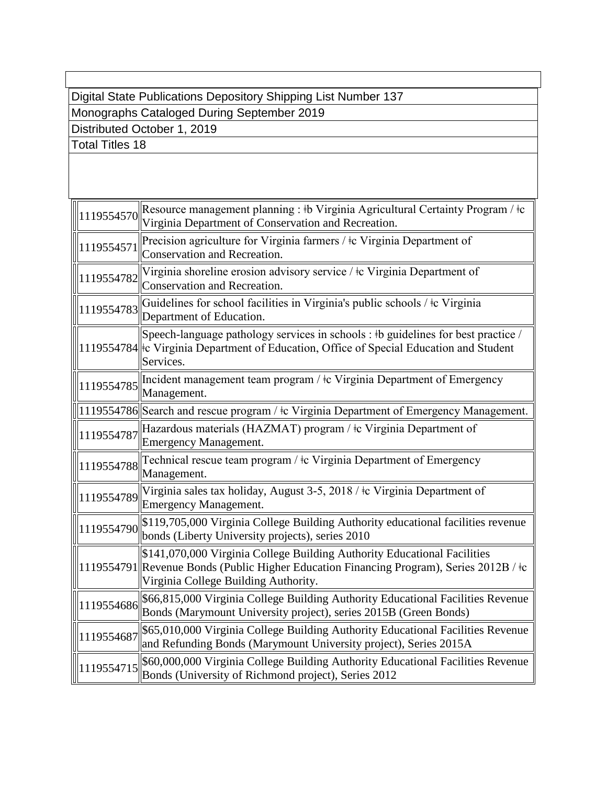Digital State Publications Depository Shipping List Number 137

Monographs Cataloged During September 2019

Distributed October 1, 2019

Total Titles 18

| $\sqrt{\frac{1}{1119554570}}$ | Resource management planning : #b Virginia Agricultural Certainty Program / #c<br>Virginia Department of Conservation and Recreation.                                                                       |
|-------------------------------|-------------------------------------------------------------------------------------------------------------------------------------------------------------------------------------------------------------|
| 119554571                     | Precision agriculture for Virginia farmers / $\pm c$ Virginia Department of<br>Conservation and Recreation.                                                                                                 |
| 119554782                     | Virginia shoreline erosion advisory service / t Virginia Department of<br>Conservation and Recreation.                                                                                                      |
| 1119554783                    | Guidelines for school facilities in Virginia's public schools / ‡c Virginia<br>Department of Education.                                                                                                     |
|                               | Speech-language pathology services in schools : #b guidelines for best practice /<br>1119554784 Fc Virginia Department of Education, Office of Special Education and Student<br>Services.                   |
| 1119554785                    | Incident management team program / $\pm c$ Virginia Department of Emergency<br>Management.                                                                                                                  |
|                               | 1119554786 Search and rescue program / ‡c Virginia Department of Emergency Management.                                                                                                                      |
| 1119554787                    | Hazardous materials (HAZMAT) program / ‡c Virginia Department of<br><b>Emergency Management.</b>                                                                                                            |
| 1119554788                    | Technical rescue team program / ‡c Virginia Department of Emergency<br>Management.                                                                                                                          |
| 1119554789                    | Virginia sales tax holiday, August 3-5, 2018 / ‡c Virginia Department of<br><b>Emergency Management.</b>                                                                                                    |
| 1119554790                    | \$119,705,000 Virginia College Building Authority educational facilities revenue<br>bonds (Liberty University projects), series 2010                                                                        |
|                               | \$141,070,000 Virginia College Building Authority Educational Facilities<br>1119554791 Revenue Bonds (Public Higher Education Financing Program), Series 2012B / ‡c<br>Virginia College Building Authority. |
| 1119554686                    | \$66,815,000 Virginia College Building Authority Educational Facilities Revenue<br>Bonds (Marymount University project), series 2015B (Green Bonds)                                                         |
| $\ $ 119554687                | \$65,010,000 Virginia College Building Authority Educational Facilities Revenue<br>and Refunding Bonds (Marymount University project), Series 2015A                                                         |
| 1119554715                    | \$60,000,000 Virginia College Building Authority Educational Facilities Revenue<br>Bonds (University of Richmond project), Series 2012                                                                      |